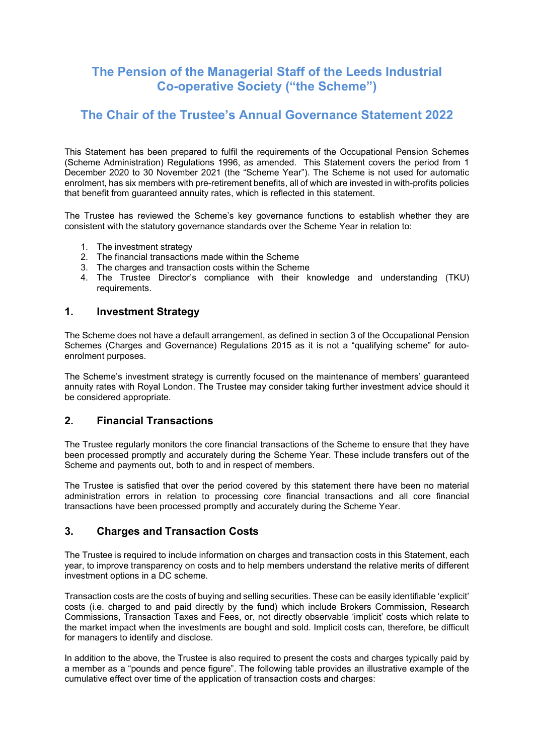# The Pension of the Managerial Staff of the Leeds Industrial Co-operative Society ("the Scheme")

# The Chair of the Trustee's Annual Governance Statement 2022

This Statement has been prepared to fulfil the requirements of the Occupational Pension Schemes (Scheme Administration) Regulations 1996, as amended. This Statement covers the period from 1 December 2020 to 30 November 2021 (the "Scheme Year"). The Scheme is not used for automatic enrolment, has six members with pre-retirement benefits, all of which are invested in with-profits policies that benefit from guaranteed annuity rates, which is reflected in this statement.

The Trustee has reviewed the Scheme's key governance functions to establish whether they are consistent with the statutory governance standards over the Scheme Year in relation to:

- 1. The investment strategy
- 2. The financial transactions made within the Scheme
- 3. The charges and transaction costs within the Scheme
- 4. The Trustee Director's compliance with their knowledge and understanding (TKU) requirements.

#### 1. Investment Strategy

The Scheme does not have a default arrangement, as defined in section 3 of the Occupational Pension Schemes (Charges and Governance) Regulations 2015 as it is not a "qualifying scheme" for autoenrolment purposes.

The Scheme's investment strategy is currently focused on the maintenance of members' guaranteed annuity rates with Royal London. The Trustee may consider taking further investment advice should it be considered appropriate.

### 2. Financial Transactions

The Trustee regularly monitors the core financial transactions of the Scheme to ensure that they have been processed promptly and accurately during the Scheme Year. These include transfers out of the Scheme and payments out, both to and in respect of members.

The Trustee is satisfied that over the period covered by this statement there have been no material administration errors in relation to processing core financial transactions and all core financial transactions have been processed promptly and accurately during the Scheme Year.

### 3. Charges and Transaction Costs

The Trustee is required to include information on charges and transaction costs in this Statement, each year, to improve transparency on costs and to help members understand the relative merits of different investment options in a DC scheme.

Transaction costs are the costs of buying and selling securities. These can be easily identifiable 'explicit' costs (i.e. charged to and paid directly by the fund) which include Brokers Commission, Research Commissions, Transaction Taxes and Fees, or, not directly observable 'implicit' costs which relate to the market impact when the investments are bought and sold. Implicit costs can, therefore, be difficult for managers to identify and disclose.

In addition to the above, the Trustee is also required to present the costs and charges typically paid by a member as a "pounds and pence figure". The following table provides an illustrative example of the cumulative effect over time of the application of transaction costs and charges: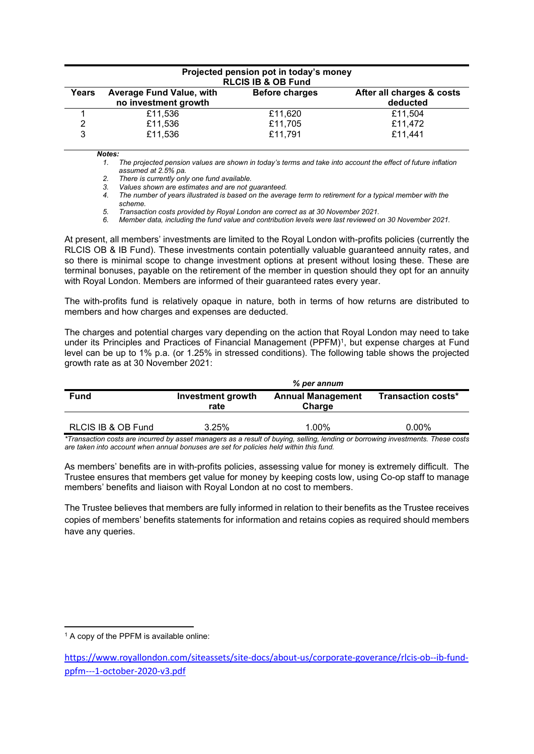| Projected pension pot in today's money<br><b>RLCIS IB &amp; OB Fund</b> |                                                         |                       |                                       |  |  |
|-------------------------------------------------------------------------|---------------------------------------------------------|-----------------------|---------------------------------------|--|--|
| Years                                                                   | <b>Average Fund Value, with</b><br>no investment growth | <b>Before charges</b> | After all charges & costs<br>deducted |  |  |
|                                                                         | £11,536                                                 | £11,620               | £11,504                               |  |  |
| 2                                                                       | £11,536                                                 | £11,705               | £11,472                               |  |  |
| 3                                                                       | £11,536                                                 | £11,791               | £11,441                               |  |  |
|                                                                         | Notes:                                                  |                       |                                       |  |  |

1. The projected pension values are shown in today's terms and take into account the effect of future inflation assumed at 2.5% pa.

2. There is currently only one fund available.

3. Values shown are estimates and are not guaranteed.

4. The number of years illustrated is based on the average term to retirement for a typical member with the scheme.

5. Transaction costs provided by Royal London are correct as at 30 November 2021.

6. Member data, including the fund value and contribution levels were last reviewed on 30 November 2021.

At present, all members' investments are limited to the Royal London with-profits policies (currently the RLCIS OB & IB Fund). These investments contain potentially valuable guaranteed annuity rates, and so there is minimal scope to change investment options at present without losing these. These are terminal bonuses, payable on the retirement of the member in question should they opt for an annuity with Royal London. Members are informed of their guaranteed rates every year.

The with-profits fund is relatively opaque in nature, both in terms of how returns are distributed to members and how charges and expenses are deducted.

The charges and potential charges vary depending on the action that Royal London may need to take under its Principles and Practices of Financial Management (PPFM)<sup>1</sup>, but expense charges at Fund level can be up to 1% p.a. (or 1.25% in stressed conditions). The following table shows the projected growth rate as at 30 November 2021:

|                    | % per annum                      |                                    |                    |  |
|--------------------|----------------------------------|------------------------------------|--------------------|--|
| <b>Fund</b>        | <b>Investment growth</b><br>rate | <b>Annual Management</b><br>Charge | Transaction costs* |  |
| RLCIS IB & OB Fund | 3.25%                            | 1.00%                              | 0.00%              |  |

\*Transaction costs are incurred by asset managers as a result of buying, selling, lending or borrowing investments. These costs are taken into account when annual bonuses are set for policies held within this fund.

As members' benefits are in with-profits policies, assessing value for money is extremely difficult. The Trustee ensures that members get value for money by keeping costs low, using Co-op staff to manage members' benefits and liaison with Royal London at no cost to members.

The Trustee believes that members are fully informed in relation to their benefits as the Trustee receives copies of members' benefits statements for information and retains copies as required should members have any queries.

<sup>&</sup>lt;sup>1</sup> A copy of the PPFM is available online:

https://www.royallondon.com/siteassets/site-docs/about-us/corporate-goverance/rlcis-ob--ib-fundppfm---1-october-2020-v3.pdf